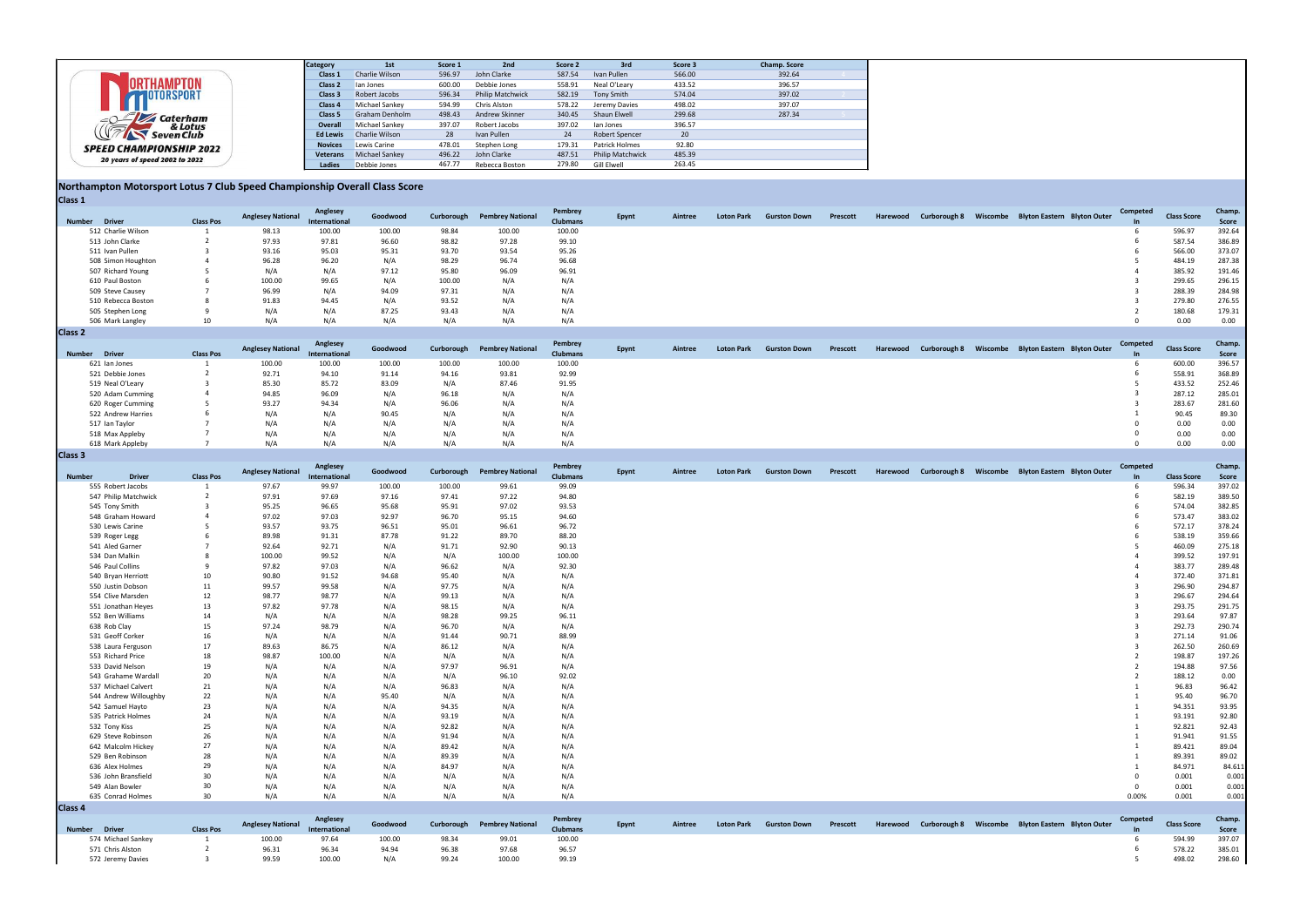|                                | <b>Category</b>    | 1st                   | Score 1 | 2nd                     | Score 2 | 3rd                     | Score 3 | Champ. Score |
|--------------------------------|--------------------|-----------------------|---------|-------------------------|---------|-------------------------|---------|--------------|
|                                | Class 1            | Charlie Wilson        | 596.97  | John Clarke             | 587.54  | Ivan Pullen             | 566.00  | 392.64       |
|                                | Class <sub>2</sub> | lan Jones             | 600.00  | Debbie Jones            | 558.91  | Neal O'Leary            | 433.52  | 396.57       |
| OTORSPORT                      | Class 3            | Robert Jacobs         | 596.34  | <b>Philip Matchwick</b> | 582.19  | Tony Smith              | 574.04  | 397.02       |
|                                | Class 4            | Michael Sankey        | 594.99  | Chris Alston            | 578.22  | Jeremy Davies           | 498.02  | 397.07       |
| Caterham                       | Class 5            | Graham Denholm        | 498.43  | Andrew Skinner          | 340.45  | Shaun Elwell            | 299.68  | 287.34       |
| & Lotus<br>$\sqrt{2}$          | Overall            | Michael Sankey        | 397.07  | Robert Jacobs           | 397.02  | lan Jones               | 396.57  |              |
| <b>Seven Club</b>              | <b>Ed Lewis</b>    | Charlie Wilson        | 28      | Ivan Pullen             | 24      | Robert Spencer          | 20      |              |
| <b>SPEED CHAMPIONSHIP 2022</b> | <b>Novices</b>     | Lewis Carine          | 478.01  | Stephen Long            | 179.31  | Patrick Holmes          | 92.80   |              |
| 20 years of speed 2002 to 2022 | Veterans           | <b>Michael Sankey</b> | 496.22  | John Clarke             | 487.51  | <b>Philip Matchwick</b> | 485.39  |              |
|                                | <b>Ladies</b>      | Debbie Jones          | 467.77  | Rebecca Boston          | 279.80  | Gill Elwell             | 263.45  |              |

#### Northampton Motorsport Lotus 7 Club Speed Championship Overall Class Score Class 1

| .                  |                  |                          |                           |          |        |                                    |                            |              |         |                   |                     |          |          |  |                                                   |                       |                    |                |
|--------------------|------------------|--------------------------|---------------------------|----------|--------|------------------------------------|----------------------------|--------------|---------|-------------------|---------------------|----------|----------|--|---------------------------------------------------|-----------------------|--------------------|----------------|
| Number Driver      | <b>Class Pos</b> | <b>Anglesey National</b> | Anglesey<br>International | Goodwood |        | <b>Curborough Pembrey National</b> | Pembrey<br><b>Clubmans</b> | <b>Epynt</b> | Aintree | <b>Loton Park</b> | <b>Gurston Down</b> | Prescott | Harewood |  | Curborough 8 Wiscombe Blyton Eastern Blyton Outer | Competed<br><b>In</b> | <b>Class Score</b> | Champ<br>Score |
| 512 Charlie Wilson |                  | 98.13                    | 100.00                    | 100.00   | 98.84  | 100.00                             | 100.00                     |              |         |                   |                     |          |          |  |                                                   |                       | 596.97             | 392.64         |
| 513 John Clarke    |                  | 97.93                    | 97.81                     | 96.60    | 98.82  | 97.28                              | 99.10                      |              |         |                   |                     |          |          |  |                                                   |                       | 587.54             | 386.89         |
| 511 Ivan Pullen    |                  | 93.16                    | 95.03                     | 95.31    | 93.70  | 93.54                              | 95.26                      |              |         |                   |                     |          |          |  |                                                   |                       | 566.00             | 373.07         |
| 508 Simon Houghton |                  | 96.28                    | 96.20                     | N/A      | 98.29  | 96.74                              | 96.68                      |              |         |                   |                     |          |          |  |                                                   |                       | 484.19             | 287.38         |
| 507 Richard Young  |                  | N/A                      | N/A                       | 97.12    | 95.80  | 96.09                              | 96.91                      |              |         |                   |                     |          |          |  |                                                   |                       | 385.92             | 191.46         |
| 610 Paul Boston    |                  | 100.00                   | 99.65                     | N/A      | 100.00 | N/A                                | N/A                        |              |         |                   |                     |          |          |  |                                                   |                       | 299.65             | 296.15         |
| 509 Steve Causey   |                  | 96.99                    | N/A                       | 94.09    | 97.31  | N/A                                | N/A                        |              |         |                   |                     |          |          |  |                                                   |                       | 288.39             | 284.98         |
| 510 Rebecca Boston |                  | 91.83                    | 94.45                     | N/A      | 93.52  | N/A                                | N/A                        |              |         |                   |                     |          |          |  |                                                   |                       | 279.80             | 276.55         |
| 505 Stephen Long   |                  | N/A                      | N/A                       | 87.25    | 93.43  | N/A                                | N/A                        |              |         |                   |                     |          |          |  |                                                   |                       | 180.68             | 179.31         |
| 506 Mark Langley   | 10               | N/A                      | N/A                       | N/A      | N/A    | N/A                                | N/A                        |              |         |                   |                     |          |          |  |                                                   |                       | 0.00               | 0.00           |
| Class <sub>2</sub> |                  |                          |                           |          |        |                                    |                            |              |         |                   |                     |          |          |  |                                                   |                       |                    |                |

|                |                    |                  | <b>Anglesey National</b> | Anglesey      | Goodwood |        | Curborough Pembrey National | Pembrey         |       | Aintree |                   | <b>Gurston Down</b> |          |  | Harewood Curborough 8 Wiscombe Blyton Eastern Blyton Outer | Competed  | <b>Class Score</b> | Champ  |
|----------------|--------------------|------------------|--------------------------|---------------|----------|--------|-----------------------------|-----------------|-------|---------|-------------------|---------------------|----------|--|------------------------------------------------------------|-----------|--------------------|--------|
|                | Number Driver      | <b>Class Pos</b> |                          | International |          |        |                             | <b>Clubmans</b> | Epynt |         | <b>Loton Park</b> |                     | Prescott |  |                                                            | <b>In</b> |                    | Score  |
|                | 621 Ian Jones      |                  | 100.00                   | 100.00        | 100.00   | 100.00 | 100.00                      | 100.00          |       |         |                   |                     |          |  |                                                            |           | 600.00             | 396.57 |
|                | 521 Debbie Jones   |                  | 92.71                    | 94.10         | 91.14    | 94.16  | 93.81                       | 92.99           |       |         |                   |                     |          |  |                                                            |           | 558.91             | 368.89 |
|                | 519 Neal O'Leary   |                  | 85.30                    | 85.72         | 83.09    | N/A    | 87.46                       | 91.95           |       |         |                   |                     |          |  |                                                            |           | 433.52             | 252.46 |
|                | 520 Adam Cumming   |                  | 94.85                    | 96.09         | N/A      | 96.18  | N/A                         | N/A             |       |         |                   |                     |          |  |                                                            |           | 287.12             | 285.01 |
|                | 620 Roger Cumming  |                  | 93.27                    | 94.34         | N/A      | 96.06  | N/A                         | N/A             |       |         |                   |                     |          |  |                                                            |           | 283.67             | 281.60 |
|                | 522 Andrew Harries |                  | N/A                      | N/A           | 90.45    | N/A    | N/A                         | N/A             |       |         |                   |                     |          |  |                                                            |           | 90.45              | 89.30  |
|                | 517 Ian Taylor     |                  | N/A                      | N/A           | N/A      | N/A    | N/A                         | N/A             |       |         |                   |                     |          |  |                                                            |           | 0.00               | 0.00   |
|                | 518 Max Appleby    |                  | N/A                      | N/A           | N/A      | N/A    | N/A                         | N/A             |       |         |                   |                     |          |  |                                                            |           | 0.00               | 0.00   |
|                | 618 Mark Appleby   |                  | N/A                      | N/A           | N/A      | N/A    | N/A                         | N/A             |       |         |                   |                     |          |  |                                                            |           | 0.00               | 0.00   |
| <b>Class 3</b> |                    |                  |                          |               |          |        |                             |                 |       |         |                   |                     |          |  |                                                            |           |                    |        |

| combe | <b>Blyton Eastern</b>              | <b>Blyton Outer</b> | Competed<br>In             | <b>Class Score</b> | Champ.<br><b>Score</b> |
|-------|------------------------------------|---------------------|----------------------------|--------------------|------------------------|
|       |                                    |                     | 6                          | 596.97             | 392.64                 |
|       |                                    |                     | 6                          | 587.54             | 386.89                 |
|       |                                    |                     | 6                          | 566.00             | 373.07                 |
|       |                                    |                     | 5                          | 484.19             | 287.38                 |
|       |                                    |                     | 4                          | 385.92             | 191.46                 |
|       |                                    |                     | 3                          | 299.65             | 296.15                 |
|       |                                    |                     | 3<br>3                     | 288.39             | 284.98                 |
|       |                                    |                     | 2                          | 279.80<br>180.68   | 276.55<br>179.31       |
|       |                                    |                     | 0                          | 0.00               | 0.00                   |
|       |                                    |                     |                            |                    |                        |
| combe | <b>Blyton Eastern</b>              | <b>Blyton Outer</b> | Competed                   | <b>Class Score</b> | Champ.                 |
|       |                                    |                     | In                         |                    | <b>Score</b>           |
|       |                                    |                     | 6<br>6                     | 600.00             | 396.57                 |
|       |                                    |                     | 5                          | 558.91<br>433.52   | 368.89<br>252.46       |
|       |                                    |                     | 3                          | 287.12             | 285.01                 |
|       |                                    |                     | 3                          | 283.67             | 281.60                 |
|       |                                    |                     | $\mathbf 1$                | 90.45              | 89.30                  |
|       |                                    |                     | 0                          | 0.00               | 0.00                   |
|       |                                    |                     | 0                          | 0.00               | 0.00                   |
|       |                                    |                     | 0                          | 0.00               | 0.00                   |
|       |                                    |                     |                            |                    |                        |
| combe | <b>Blyton Eastern</b>              | <b>Blyton Outer</b> | Competed<br>In             | <b>Class Score</b> | Champ.<br><b>Score</b> |
|       |                                    |                     | 6                          | 596.34             | 397.02                 |
|       |                                    |                     | 6                          | 582.19             | 389.50                 |
|       |                                    |                     | 6                          | 574.04             | 382.85                 |
|       |                                    |                     | 6                          | 573.47             | 383.02                 |
|       |                                    |                     | 6                          | 572.17             | 378.24                 |
|       |                                    |                     | 6<br>5                     | 538.19             | 359.66                 |
|       |                                    |                     | 4                          | 460.09<br>399.52   | 275.18<br>197.91       |
|       |                                    |                     | 4                          | 383.77             | 289.48                 |
|       |                                    |                     | 4                          | 372.40             | 371.81                 |
|       |                                    |                     | 3                          | 296.90             | 294.87                 |
|       |                                    |                     | 3                          | 296.67             | 294.64                 |
|       |                                    |                     | 3                          | 293.75             | 291.75                 |
|       |                                    |                     | 3                          | 293.64             | 97.87                  |
|       |                                    |                     | 3                          | 292.73             | 290.74                 |
|       |                                    |                     | 3<br>3                     | 271.14             | 91.06                  |
|       |                                    |                     | 2                          | 262.50<br>198.87   | 260.69<br>197.26       |
|       |                                    |                     | 2                          | 194.88             | 97.56                  |
|       |                                    |                     | 2                          | 188.12             | 0.00                   |
|       |                                    |                     | $\mathbf 1$                | 96.83              | 96.42                  |
|       |                                    |                     | $\mathbf 1$                | 95.40              | 96.70                  |
|       |                                    |                     | $\mathbf 1$                | 94.351             | 93.95                  |
|       |                                    |                     | $\mathbf{1}$               | 93.191             | 92.80                  |
|       |                                    |                     | $\mathbf 1$                | 92.821             | 92.43                  |
|       |                                    |                     | $\mathbf 1$                | 91.941             | 91.55                  |
|       |                                    |                     | $\mathbf 1$<br>$\mathbf 1$ | 89.421             | 89.04                  |
|       |                                    |                     | $\mathbf 1$                | 89.391<br>84.971   | 89.02<br>84.611        |
|       |                                    |                     | 0                          | 0.001              | 0.001                  |
|       |                                    |                     | 0                          | 0.001              | 0.001                  |
|       |                                    |                     | 0.00%                      | 0.001              | 0.001                  |
|       |                                    |                     |                            |                    |                        |
| combe | <b>Blyton Eastern Blyton Outer</b> |                     | Competed                   | <b>Class Score</b> | Champ.                 |
|       |                                    |                     | In<br>6                    | 594.99             | Score<br>397.07        |
|       |                                    |                     | 6                          | 578.22             | 385.01                 |
|       |                                    |                     | 5                          | 498.02             | 298.60                 |
|       |                                    |                     |                            |                    |                        |

|                    |                       |                  | <b>Anglesey National</b> | Anglesey                  | Goodwood | Curborough | <b>Pembrey National</b>     | Pembrey                    | Epynt | Aintree | <b>Loton Park</b> | <b>Gurston Down</b> | Prescott | Harewood |  | Curborough 8 Wiscombe Blyton Eastern Blyton Outer | Competed |                    | Champ           |
|--------------------|-----------------------|------------------|--------------------------|---------------------------|----------|------------|-----------------------------|----------------------------|-------|---------|-------------------|---------------------|----------|----------|--|---------------------------------------------------|----------|--------------------|-----------------|
| <b>Number</b>      | <b>Driver</b>         | <b>Class Pos</b> |                          | International             |          |            |                             | <b>Clubmans</b>            |       |         |                   |                     |          |          |  |                                                   |          | <b>Class Score</b> | Score           |
|                    | 555 Robert Jacobs     | - 1              | 97.67                    | 99.97                     | 100.00   | 100.00     | 99.61                       | 99.09                      |       |         |                   |                     |          |          |  |                                                   | -6       | 596.34             | 397.02          |
|                    | 547 Philip Matchwick  |                  | 97.91                    | 97.69                     | 97.16    | 97.41      | 97.22                       | 94.80                      |       |         |                   |                     |          |          |  |                                                   | -6       | 582.19             | 389.50          |
|                    | 545 Tony Smith        |                  | 95.25                    | 96.65                     | 95.68    | 95.91      | 97.02                       | 93.53                      |       |         |                   |                     |          |          |  |                                                   |          | 574.04             | 382.85          |
|                    | 548 Graham Howard     |                  | 97.02                    | 97.03                     | 92.97    | 96.70      | 95.15                       | 94.60                      |       |         |                   |                     |          |          |  |                                                   |          | 573.47             | 383.02          |
|                    | 530 Lewis Carine      |                  | 93.57                    | 93.75                     | 96.51    | 95.01      | 96.61                       | 96.72                      |       |         |                   |                     |          |          |  |                                                   |          | 572.17             | 378.24          |
|                    | 539 Roger Legg        |                  | 89.98                    | 91.31                     | 87.78    | 91.22      | 89.70                       | 88.20                      |       |         |                   |                     |          |          |  |                                                   |          | 538.19             | 359.66          |
|                    | 541 Aled Garner       |                  | 92.64                    | 92.71                     | N/A      | 91.71      | 92.90                       | 90.13                      |       |         |                   |                     |          |          |  |                                                   |          | 460.09             | 275.18          |
|                    | 534 Dan Malkin        |                  | 100.00                   | 99.52                     | N/A      | N/A        | 100.00                      | 100.00                     |       |         |                   |                     |          |          |  |                                                   |          | 399.52             | 197.91          |
|                    | 546 Paul Collins      |                  | 97.82                    | 97.03                     | N/A      | 96.62      | N/A                         | 92.30                      |       |         |                   |                     |          |          |  |                                                   |          | 383.77             | 289.48          |
|                    | 540 Bryan Herriott    | 10               | 90.80                    | 91.52                     | 94.68    | 95.40      | N/A                         | N/A                        |       |         |                   |                     |          |          |  |                                                   |          | 372.40             | 371.81          |
|                    | 550 Justin Dobson     | 11               | 99.57                    | 99.58                     | N/A      | 97.75      | N/A                         | N/A                        |       |         |                   |                     |          |          |  |                                                   |          | 296.90             | 294.87          |
|                    | 554 Clive Marsden     | 12               | 98.77                    | 98.77                     | N/A      | 99.13      | N/A                         | N/A                        |       |         |                   |                     |          |          |  |                                                   |          | 296.67             | 294.64          |
|                    | 551 Jonathan Heyes    | 13               | 97.82                    | 97.78                     | N/A      | 98.15      | N/A                         | N/A                        |       |         |                   |                     |          |          |  |                                                   |          | 293.75             | 291.75          |
|                    | 552 Ben Williams      | 14               | N/A                      | N/A                       | N/A      | 98.28      | 99.25                       | 96.11                      |       |         |                   |                     |          |          |  |                                                   |          | 293.64             | 97.87           |
|                    | 638 Rob Clay          | 15               | 97.24                    | 98.79                     | N/A      | 96.70      | N/A                         | N/A                        |       |         |                   |                     |          |          |  |                                                   |          | 292.73             | 290.74          |
|                    | 531 Geoff Corker      | 16               | N/A                      | N/A                       | N/A      | 91.44      | 90.71                       | 88.99                      |       |         |                   |                     |          |          |  |                                                   |          | 271.14             | 91.06           |
|                    | 538 Laura Ferguson    | 17               | 89.63                    | 86.75                     | N/A      | 86.12      | N/A                         | N/A                        |       |         |                   |                     |          |          |  |                                                   |          | 262.50             | 260.69          |
|                    | 553 Richard Price     | 18               | 98.87                    | 100.00                    | N/A      | N/A        | N/A                         | N/A                        |       |         |                   |                     |          |          |  |                                                   |          | 198.87             | 197.26          |
|                    | 533 David Nelson      | 19               | N/A                      | N/A                       | N/A      | 97.97      | 96.91                       | N/A                        |       |         |                   |                     |          |          |  |                                                   |          | 194.88             | 97.56           |
|                    | 543 Grahame Wardall   | 20               | N/A                      | N/A                       | N/A      | N/A        | 96.10                       | 92.02                      |       |         |                   |                     |          |          |  |                                                   |          | 188.12             | 0.00            |
|                    | 537 Michael Calvert   | 21               | N/A                      | N/A                       | N/A      | 96.83      | N/A                         | N/A                        |       |         |                   |                     |          |          |  |                                                   |          | 96.83              | 96.42           |
|                    | 544 Andrew Willoughby | 22               | N/A                      | N/A                       | 95.40    | N/A        | N/A                         | N/A                        |       |         |                   |                     |          |          |  |                                                   |          | 95.40              | 96.70           |
|                    | 542 Samuel Hayto      | 23               | N/A                      | N/A                       | N/A      | 94.35      | N/A                         | N/A                        |       |         |                   |                     |          |          |  |                                                   |          | 94.351             | 93.95           |
|                    | 535 Patrick Holmes    | 24               | N/A                      | N/A                       | N/A      | 93.19      | N/A                         | N/A                        |       |         |                   |                     |          |          |  |                                                   |          | 93.191             | 92.80           |
|                    | 532 Tony Kiss         | 25               | N/A                      | N/A                       | N/A      | 92.82      | N/A                         | N/A                        |       |         |                   |                     |          |          |  |                                                   |          | 92.821             | 92.43           |
|                    | 629 Steve Robinson    | 26               | N/A                      | N/A                       | N/A      | 91.94      | N/A                         | N/A                        |       |         |                   |                     |          |          |  |                                                   |          | 91.941             | 91.55           |
|                    | 642 Malcolm Hickey    | 27               | N/A                      | N/A                       | N/A      | 89.42      | N/A                         | N/A                        |       |         |                   |                     |          |          |  |                                                   |          | 89.421             | 89.04           |
|                    | 529 Ben Robinson      | 28               | N/A                      | N/A                       | N/A      | 89.39      | N/A                         | N/A                        |       |         |                   |                     |          |          |  |                                                   |          | 89.391             | 89.02           |
|                    | 636 Alex Holmes       | 29               | N/A                      | N/A                       | N/A      | 84.97      | N/A                         | N/A                        |       |         |                   |                     |          |          |  |                                                   |          | 84.971             | 84.611          |
|                    | 536 John Bransfield   | 30               | N/A                      | N/A                       | N/A      | N/A        | N/A                         | N/A                        |       |         |                   |                     |          |          |  |                                                   |          | 0.001              | 0.001           |
|                    | 549 Alan Bowler       | 30               | N/A                      | N/A                       | N/A      | N/A        | N/A                         | N/A                        |       |         |                   |                     |          |          |  |                                                   | $\Omega$ | 0.001              | 0.001           |
|                    | 635 Conrad Holmes     | 30               | N/A                      | N/A                       | N/A      | N/A        | N/A                         | N/A                        |       |         |                   |                     |          |          |  |                                                   | 0.00%    | 0.001              | 0.001           |
| Class <sub>4</sub> |                       |                  |                          |                           |          |            |                             |                            |       |         |                   |                     |          |          |  |                                                   |          |                    |                 |
| <b>Number</b>      | <b>Driver</b>         | <b>Class Pos</b> | <b>Anglesey National</b> | Anglesey<br>International | Goodwood |            | Curborough Pembrey National | Pembrey<br><b>Clubmans</b> | Epynt | Aintree | <b>Loton Park</b> | <b>Gurston Down</b> | Prescott | Harewood |  | Curborough 8 Wiscombe Blyton Eastern Blyton Outer | Competed | <b>Class Score</b> | Champ.<br>Score |

| Number Driver      | <b>Class Pos</b> | migresey rectional International |        | <b>COOUWOOD</b> |       | Curborough removely readored Clubmans |        | – ⊢pynu | <b>ARRICE</b> | <b>LULUIII</b> GIN | <b>PRISTOL DOMIT</b> |  |  | rescott narewood canooroagh o wiscombe biyton-castern biyton-outer | Score Score |        |
|--------------------|------------------|----------------------------------|--------|-----------------|-------|---------------------------------------|--------|---------|---------------|--------------------|----------------------|--|--|--------------------------------------------------------------------|-------------|--------|
| 574 Michael Sankey |                  | 100.00                           | 97.64  | 100.00          | 98.34 | 99.01                                 | 100.00 |         |               |                    |                      |  |  |                                                                    | 594.99      | 397.07 |
| 571 Chris Alston   |                  | 96.31                            | 96.34  | 94.94           | 96.38 | 97.68                                 | 96.57  |         |               |                    |                      |  |  |                                                                    | 578.22      | 385.01 |
| 572 Jeremy Davies  |                  | 99.59                            | 100.00 | N/A             | 99.24 | 100.00                                | 99.19  |         |               |                    |                      |  |  |                                                                    | 498.02      | 298.60 |
|                    |                  |                                  |        |                 |       |                                       |        |         |               |                    |                      |  |  |                                                                    |             |        |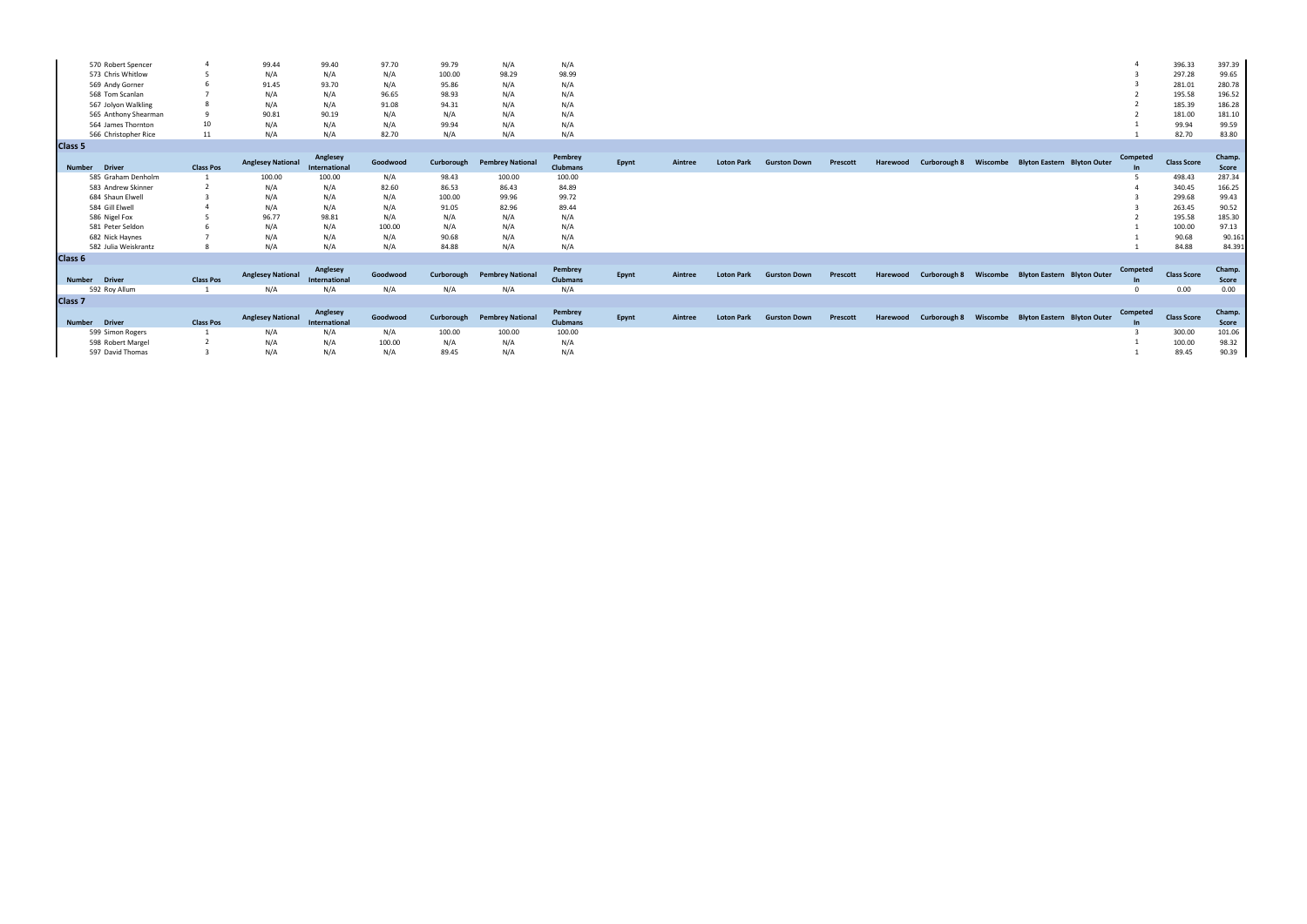| 570 Robert Spencer   |    | 99.44 | 99.40 | 97.70 | 99.79  | N/A   | N/A   |
|----------------------|----|-------|-------|-------|--------|-------|-------|
| 573 Chris Whitlow    |    | N/A   |       | N/A   | 100.00 | 98.29 | 98.99 |
| 569 Andy Gorner      |    | 91.45 | 93.70 | N/A   | 95.86  | N/A   | N/A   |
| 568 Tom Scanlan      |    | N/A   |       | 96.65 | 98.93  | N/A   | N/A   |
| 567 Jolyon Walkling  |    | N/A   |       | 91.08 | 94.31  | N/A   | N/A   |
| 565 Anthony Shearman |    | 90.81 | 90.19 | N/A   | N/A    | N/A   | N/A   |
| 564 James Thornton   | 10 | N/A   |       | N/A   | 99.94  | N/A   | N/A   |
| 566 Christopher Rice | 11 | N/A   |       | 82.70 | N/A    | N/A   | N/A   |
| Class <sub>5</sub>   |    |       |       |       |        |       |       |
|                      |    |       |       |       |        |       |       |

|                      |                  | <b>Anglesey National</b> | Anglesey      | Goodwood |        | Curborough Pembrey National | Pembrey         |       | Aintree | <b>Loton Park</b> | <b>Gurston Down</b> | Prescott |          | Curborough 8 Wiscombe Blyton Eastern Blyton Outer |                                      | Competed | <b>Class Score</b> | Champ        |
|----------------------|------------------|--------------------------|---------------|----------|--------|-----------------------------|-----------------|-------|---------|-------------------|---------------------|----------|----------|---------------------------------------------------|--------------------------------------|----------|--------------------|--------------|
| Number Driver        | <b>Class Pos</b> |                          | International |          |        |                             | <b>Clubmans</b> | Epynt |         |                   |                     |          | Harewood |                                                   |                                      |          |                    | Score        |
| 585 Graham Denholm   |                  | 100.00                   | 100.00        | N/A      | 98.43  | 100.00                      | 100.00          |       |         |                   |                     |          |          |                                                   |                                      |          | 498.43             | 287.34       |
| 583 Andrew Skinner   |                  | N/A                      | N/A           | 82.60    | 86.53  | 86.43                       | 84.89           |       |         |                   |                     |          |          |                                                   |                                      |          | 340.45             | 166.25       |
| 684 Shaun Elwell     |                  | N/A                      | N/A           | N/A      | 100.00 | 99.96                       | 99.72           |       |         |                   |                     |          |          |                                                   |                                      |          | 299.68             | 99.43        |
| 584 Gill Elwell      |                  | N/A                      | N/A           | N/A      | 91.05  | 82.96                       | 89.44           |       |         |                   |                     |          |          |                                                   |                                      |          | 263.45             | 90.52        |
| 586 Nigel Fox        |                  | 96.77                    | 98.81         | N/A      | N/A    | N/A                         | N/A             |       |         |                   |                     |          |          |                                                   |                                      |          | 195.58             | 185.30       |
| 581 Peter Seldon     |                  | N/A                      | N/A           | 100.00   | N/A    | N/A                         | N/A             |       |         |                   |                     |          |          |                                                   |                                      |          | 100.00             | 97.13        |
| 682 Nick Haynes      |                  | N/A                      | N/A           | N/A      | 90.68  | N/A                         | N/A             |       |         |                   |                     |          |          |                                                   |                                      |          | 90.68              | 90.161       |
| 582 Julia Weiskrantz |                  | N/A                      | N/A           | N/A      | 84.88  | N/A                         | N/A             |       |         |                   |                     |          |          |                                                   |                                      |          | 84.88              | 84.391       |
| Class 6              |                  |                          |               |          |        |                             |                 |       |         |                   |                     |          |          |                                                   |                                      |          |                    |              |
|                      |                  |                          | Anglesey      |          |        |                             | Pembrey         |       |         |                   |                     |          |          |                                                   |                                      | Competed |                    | Champ.       |
| Number Driver        | <b>Class Pos</b> | <b>Anglesey National</b> | International | Goodwood |        | Curborough Pembrey National | <b>Clubmans</b> | Epynt | Aintree | <b>Loton Park</b> | <b>Gurston Down</b> | Prescott | Harewood | Curborough 8                                      | Wiscombe Blyton Eastern Blyton Outer |          | <b>Class Score</b> | <b>Score</b> |

|       |                                    |                     | 4              | 396.33             | 397.39                 |
|-------|------------------------------------|---------------------|----------------|--------------------|------------------------|
|       |                                    |                     | 3              | 297.28             | 99.65                  |
|       |                                    |                     | 3              | 281.01             | 280.78                 |
|       |                                    |                     | $\overline{2}$ | 195.58             | 196.52                 |
|       |                                    |                     | $\overline{2}$ | 185.39             | 186.28                 |
|       |                                    |                     | $\overline{2}$ | 181.00             | 181.10                 |
|       |                                    |                     | $\mathbf{1}$   | 99.94              | 99.59                  |
|       |                                    |                     | $\mathbf{1}$   | 82.70              | 83.80                  |
|       |                                    |                     |                |                    |                        |
|       |                                    |                     | Competed       |                    | Champ.                 |
| combe | <b>Blyton Eastern Blyton Outer</b> |                     | In             | <b>Class Score</b> | <b>Score</b>           |
|       |                                    |                     | 5              | 498.43             | 287.34                 |
|       |                                    |                     | 4              | 340.45             | 166.25                 |
|       |                                    |                     | 3              | 299.68             | 99.43                  |
|       |                                    |                     | 3              | 263.45             | 90.52                  |
|       |                                    |                     | $\overline{2}$ | 195.58             | 185.30                 |
|       |                                    |                     | $\mathbf{1}$   | 100.00             | 97.13                  |
|       |                                    |                     | $\mathbf{1}$   | 90.68              | 90.161                 |
|       |                                    |                     | $\mathbf{1}$   | 84.88              | 84.391                 |
|       |                                    |                     |                |                    |                        |
|       |                                    |                     | Competed       |                    | Champ.                 |
| combe | <b>Blyton Eastern</b>              | <b>Blyton Outer</b> | In             | <b>Class Score</b> | <b>Score</b>           |
|       |                                    |                     | 0              | 0.00               | 0.00                   |
|       |                                    |                     |                |                    |                        |
| combe | <b>Blyton Eastern Blyton Outer</b> |                     | Competed<br>In | <b>Class Score</b> | Champ.<br><b>Score</b> |
|       |                                    |                     | 3              | 300.00             | 101.06                 |
|       |                                    |                     | $\mathbf{1}$   | 100.00             | 98.32                  |
|       |                                    |                     | $\mathbf{1}$   | 89.45              | 90.39                  |

| 592 Roy Allum      |                  |                                                           |          |        | N/A                                             | N/A    |       |         |                   |                     |  |  |                                                                                    | 0.00               | 0.00   |
|--------------------|------------------|-----------------------------------------------------------|----------|--------|-------------------------------------------------|--------|-------|---------|-------------------|---------------------|--|--|------------------------------------------------------------------------------------|--------------------|--------|
| Class <sub>7</sub> |                  |                                                           |          |        |                                                 |        |       |         |                   |                     |  |  |                                                                                    |                    |        |
|                    |                  | Anglesey National Anglesey<br>International International | Goodwood |        | Pembrey<br>Curborough Pembrey National Clubmans |        | Epynt | Aintree | <b>Loton Park</b> | <b>Gurston Down</b> |  |  | Prescott Harewood Curborough 8 Wiscombe Blyton Eastern Blyton Outer Competed Class | <b>Class Score</b> | Champ  |
| Number Driver      | <b>Class Pos</b> |                                                           |          |        |                                                 |        |       |         |                   |                     |  |  |                                                                                    |                    | Score  |
| 599 Simon Rogers   |                  | N/A                                                       |          | 100.00 | 100.00                                          | 100.00 |       |         |                   |                     |  |  |                                                                                    | 300.00             | 101.06 |
| 598 Robert Margel  |                  | N/A                                                       | 100.00   | N/A    | N/A                                             | N/A    |       |         |                   |                     |  |  |                                                                                    | 100.00             | 98.32  |
| 597 David Thomas   |                  | N/A                                                       | N/A      | 89.45  | N/A                                             | N/A    |       |         |                   |                     |  |  |                                                                                    | 89.45              | 90.39  |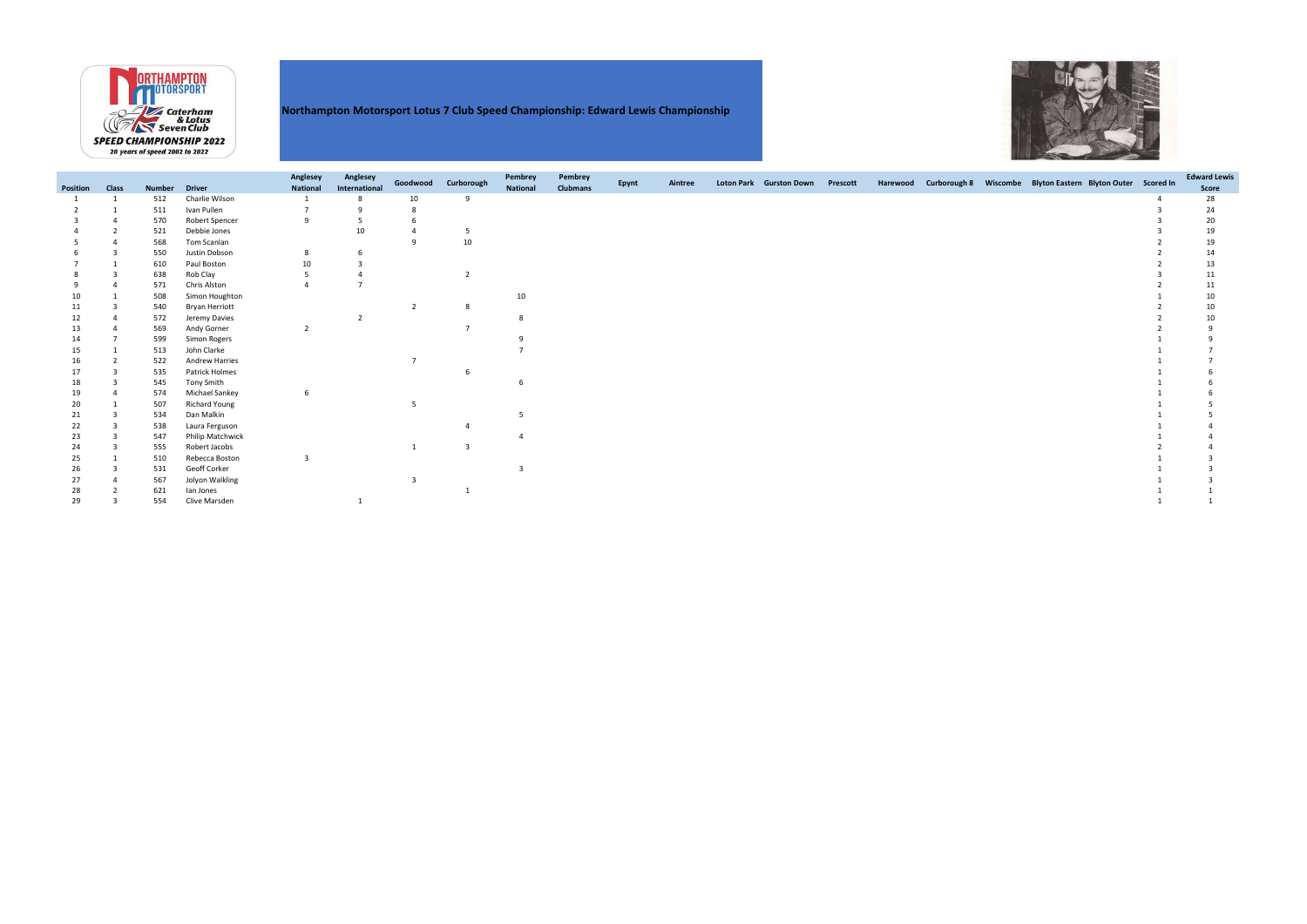

### Northampton Motorsport Lotus 7 Club Speed Championship: Edward Lewis Championship

| Position | <b>Class</b> | <b>Number</b> | <b>Driver</b>         | Anglesey<br><b>National</b> | Anglesey<br>International | Goodwood | Curborough     | Pembrey<br><b>National</b> | Pembrey<br><b>Clubmans</b> | Epynt | Aintree | Loton Park Gurston Down | Prescott |  | Harewood Curborough 8 Wiscombe Blyton Eastern Blyton Outer Scored In | <b>Edward Lewis</b><br>Score |
|----------|--------------|---------------|-----------------------|-----------------------------|---------------------------|----------|----------------|----------------------------|----------------------------|-------|---------|-------------------------|----------|--|----------------------------------------------------------------------|------------------------------|
|          |              | 512           | Charlie Wilson        |                             |                           | 10       |                |                            |                            |       |         |                         |          |  |                                                                      | 28                           |
|          |              | 511           | Ivan Pullen           |                             |                           |          |                |                            |                            |       |         |                         |          |  |                                                                      | 24                           |
|          |              | 570           | <b>Robert Spencer</b> | a                           |                           |          |                |                            |                            |       |         |                         |          |  |                                                                      | 20                           |
|          |              | 521           | Debbie Jones          |                             | 10                        |          |                |                            |                            |       |         |                         |          |  |                                                                      | 19                           |
|          |              | 568           | Tom Scanlan           |                             |                           |          | 10             |                            |                            |       |         |                         |          |  |                                                                      | 19                           |
|          |              | 550           | Justin Dobson         |                             |                           |          |                |                            |                            |       |         |                         |          |  |                                                                      | 14                           |
|          |              | 610           | Paul Boston           | 10                          |                           |          |                |                            |                            |       |         |                         |          |  |                                                                      | 13                           |
|          |              | 638           | Rob Clay              |                             |                           |          |                |                            |                            |       |         |                         |          |  |                                                                      | 11                           |
|          |              | 571           | Chris Alston          |                             |                           |          |                |                            |                            |       |         |                         |          |  |                                                                      | 11                           |
|          |              | 508           | Simon Houghton        |                             |                           |          |                | 10                         |                            |       |         |                         |          |  |                                                                      | 10                           |
|          |              | 540           | <b>Bryan Herriott</b> |                             |                           |          |                |                            |                            |       |         |                         |          |  |                                                                      | 10                           |
|          |              | 572           | Jeremy Davies         |                             |                           |          |                |                            |                            |       |         |                         |          |  |                                                                      |                              |
|          |              | 569           | Andy Gorner           | $\overline{2}$              |                           |          |                |                            |                            |       |         |                         |          |  |                                                                      |                              |
|          |              | 599           | Simon Rogers          |                             |                           |          |                |                            |                            |       |         |                         |          |  |                                                                      |                              |
|          |              | 513           | John Clarke           |                             |                           |          |                |                            |                            |       |         |                         |          |  |                                                                      |                              |
|          |              | 522           | <b>Andrew Harries</b> |                             |                           |          |                |                            |                            |       |         |                         |          |  |                                                                      |                              |
|          |              | 535           | Patrick Holmes        |                             |                           |          |                |                            |                            |       |         |                         |          |  |                                                                      |                              |
|          |              | 545           | Tony Smith            |                             |                           |          |                |                            |                            |       |         |                         |          |  |                                                                      |                              |
|          |              | 574           | Michael Sankey        |                             |                           |          |                |                            |                            |       |         |                         |          |  |                                                                      |                              |
|          |              | 507           | <b>Richard Young</b>  |                             |                           |          |                |                            |                            |       |         |                         |          |  |                                                                      |                              |
| 21       |              | 534           | Dan Malkin            |                             |                           |          |                |                            |                            |       |         |                         |          |  |                                                                      |                              |
| 22       |              | 538           | Laura Ferguson        |                             |                           |          |                |                            |                            |       |         |                         |          |  |                                                                      |                              |
| 23       |              | 547           | Philip Matchwick      |                             |                           |          |                |                            |                            |       |         |                         |          |  |                                                                      |                              |
| 24       |              | 555           | Robert Jacobs         |                             |                           |          | $\overline{3}$ |                            |                            |       |         |                         |          |  |                                                                      |                              |
| 25       |              | 510           | Rebecca Boston        | ₹                           |                           |          |                |                            |                            |       |         |                         |          |  |                                                                      |                              |
| 26       |              | 531           | Geoff Corker          |                             |                           |          |                |                            |                            |       |         |                         |          |  |                                                                      |                              |
| 27       |              | 567           | Jolyon Walkling       |                             |                           |          |                |                            |                            |       |         |                         |          |  |                                                                      |                              |
|          |              | 621           | lan Jones             |                             |                           |          |                |                            |                            |       |         |                         |          |  |                                                                      |                              |
| 29       |              | 554           | Clive Marsden         |                             |                           |          |                |                            |                            |       |         |                         |          |  |                                                                      |                              |

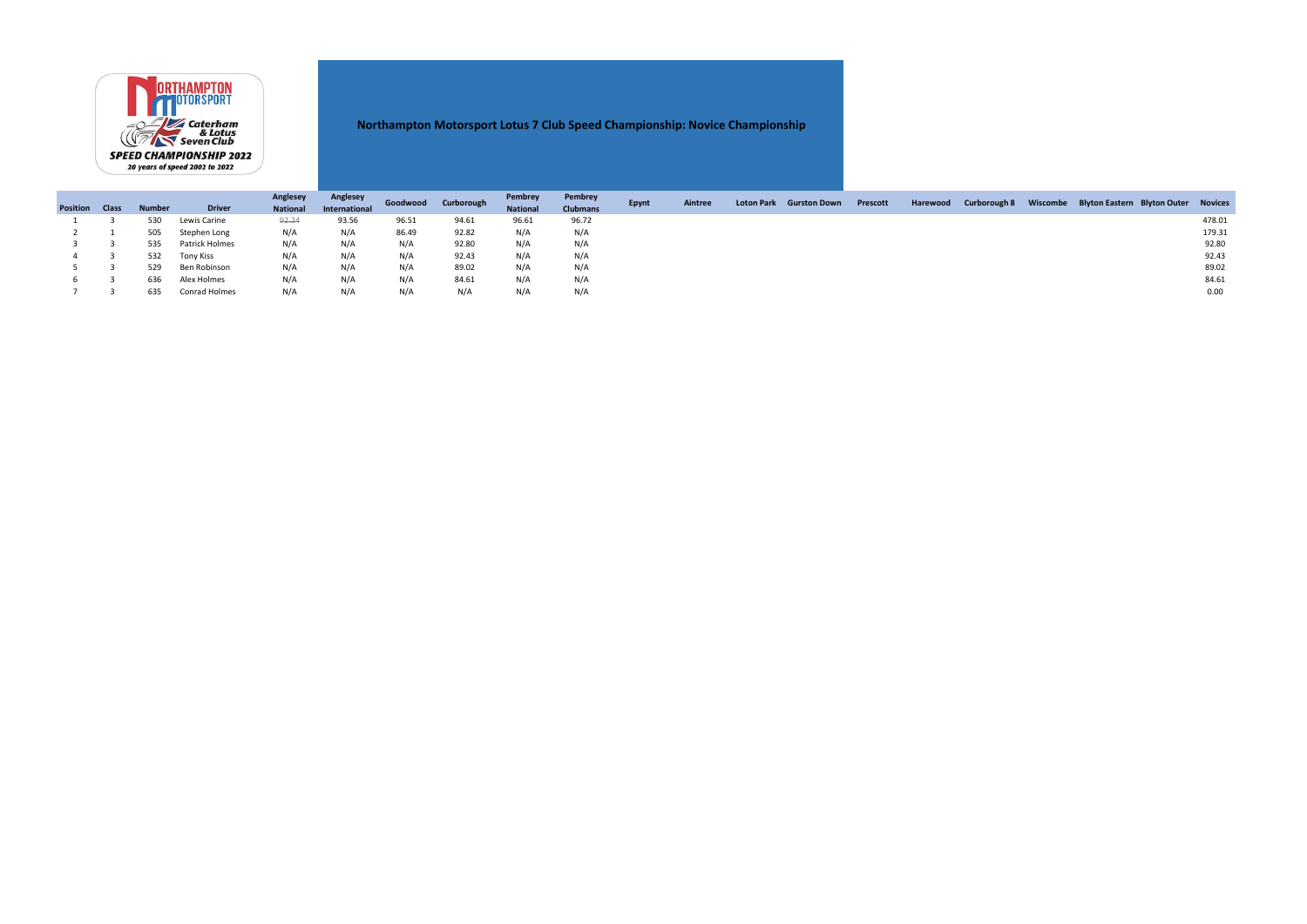|                 |              |               |                | Anglesey        | Anglesey      | Goodwood | Curborough | Pembrey         | Pembrey         |              | Aintree |                         |          |          |                     | Wiscombe Blyton Eastern Blyton Outer Novices |        |
|-----------------|--------------|---------------|----------------|-----------------|---------------|----------|------------|-----------------|-----------------|--------------|---------|-------------------------|----------|----------|---------------------|----------------------------------------------|--------|
| <b>Position</b> | <b>Class</b> | <b>Number</b> | <b>Driver</b>  | <b>National</b> | International |          |            | <b>National</b> | <b>Clubmans</b> | <b>Epynt</b> |         | Loton Park Gurston Down | Prescott | Harewood | <b>Curborough 8</b> |                                              |        |
|                 |              | 530           | Lewis Carine   | 92.24           | 93.56         | 96.51    | 94.61      | 96.61           | 96.72           |              |         |                         |          |          |                     |                                              | 478.01 |
|                 |              | 505           | Stephen Long   | N/A             | N/A           | 86.49    | 92.82      | N/A             | N/A             |              |         |                         |          |          |                     |                                              | 179.31 |
|                 |              | 535           | Patrick Holmes | N/A             | N/A           | N/A      | 92.80      | N/A             | N/A             |              |         |                         |          |          |                     |                                              | 92.80  |
|                 |              | 532           | Tony Kiss      | N/A             | N/A           | N/A      | 92.43      | N/A             | N/A             |              |         |                         |          |          |                     |                                              | 92.43  |
|                 |              | 529           | Ben Robinson   | N/A             | N/A           | N/A      | 89.02      | N/A             | N/A             |              |         |                         |          |          |                     |                                              | 89.02  |
|                 |              | 636           | Alex Holmes    | N/A             | N/A           | N/A      | 84.61      | N/A             | N/A             |              |         |                         |          |          |                     |                                              | 84.61  |
|                 |              | 635           | Conrad Holmes  | N/A             | N/A           | N/A      | N/A        | N/A             | N/A             |              |         |                         |          |          |                     |                                              | 0.00   |



## Northampton Motorsport Lotus 7 Club Speed Championship: Novice Championship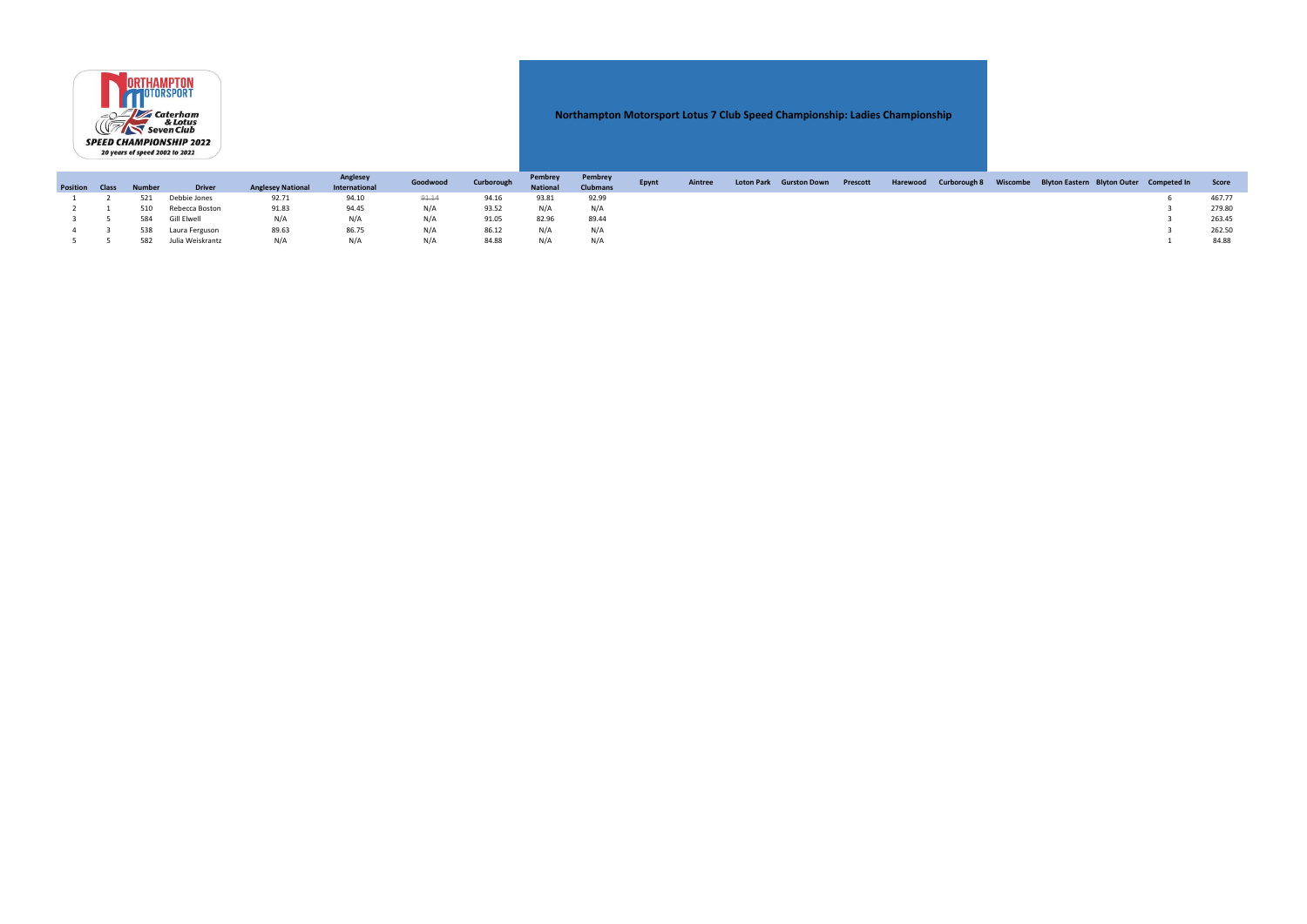|                       |  |               | Anglesey         |                          | Curborough    | Pembrey  | Pembrey |                 | Aintree         | Loton Park Gurston Down |  |  | Harewood Curborough 8 Wiscombe Blyton Eastern Blyton Outer Competed In | <b>Score</b> |  |        |
|-----------------------|--|---------------|------------------|--------------------------|---------------|----------|---------|-----------------|-----------------|-------------------------|--|--|------------------------------------------------------------------------|--------------|--|--------|
| <b>Position Class</b> |  | <b>Number</b> | <b>Driver</b>    | <b>Anglesey National</b> | International | Goodwood |         | <b>National</b> | <b>Clubmans</b> | Epynt                   |  |  | <b>Prescott</b>                                                        |              |  |        |
|                       |  | 521           | Debbie Jones     | 92.71                    | 94.10         | 91.14    |         | 93.81           | 92.99           |                         |  |  |                                                                        |              |  | 467.77 |
|                       |  | 510           | Rebecca Boston   | 91.83                    | 94.45         | N/A      | 93.52   | N/A             | N/A             |                         |  |  |                                                                        |              |  | 279.80 |
|                       |  | 584           | Gill Elwell      | N/A                      | N/A           | N/A      | 91.05   | 82.96           | 89.44           |                         |  |  |                                                                        |              |  | 263.45 |
|                       |  | 538           | Laura Ferguson   | 89.63                    | 86.75         | N/A      | 86.12   | N/A             | N/A             |                         |  |  |                                                                        |              |  | 262.50 |
|                       |  | 582           | Julia Weiskrantz | N/A                      | N/A           | N/A      | 84.88   | N/A             | N/A             |                         |  |  |                                                                        |              |  | 84.88  |



### Northampton Motorsport Lotus 7 Club Speed Championship: Ladies Championship